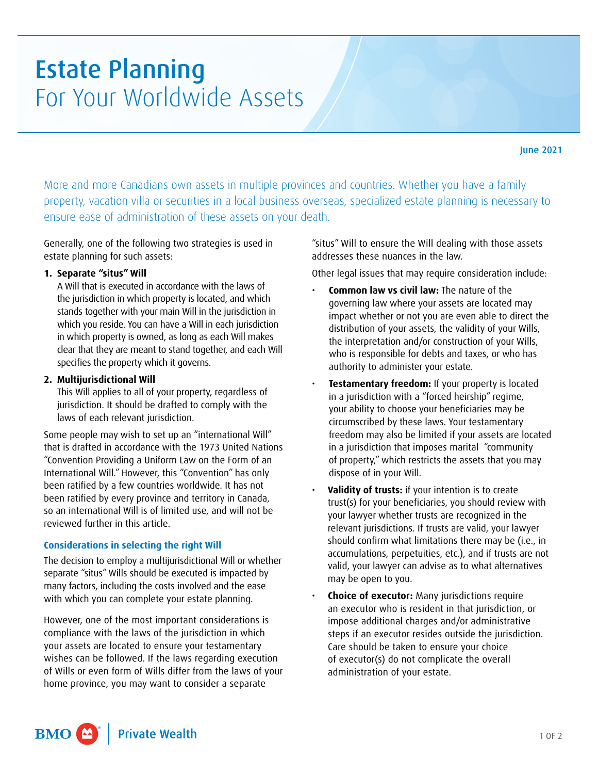# Estate Planning For Your Worldwide Assets

More and more Canadians own assets in multiple provinces and countries. Whether you have a family property, vacation villa or securities in a local business overseas, specialized estate planning is necessary to ensure ease of administration of these assets on your death.

Generally, one of the following two strategies is used in estate planning for such assets:

# **1. Separate "situs" Will**

A Will that is executed in accordance with the laws of the jurisdiction in which property is located, and which stands together with your main Will in the jurisdiction in which you reside. You can have a Will in each jurisdiction in which property is owned, as long as each Will makes clear that they are meant to stand together, and each Will specifies the property which it governs.

### **2. Multijurisdictional Will**

This Will applies to all of your property, regardless of jurisdiction. It should be drafted to comply with the laws of each relevant jurisdiction.

Some people may wish to set up an "international Will" that is drafted in accordance with the 1973 United Nations "Convention Providing a Uniform Law on the Form of an International Will." However, this "Convention" has only been ratified by a few countries worldwide. It has not been ratified by every province and territory in Canada, so an international Will is of limited use, and will not be reviewed further in this article.

# **Considerations in selecting the right Will**

The decision to employ a multijurisdictional Will or whether separate "situs" Wills should be executed is impacted by many factors, including the costs involved and the ease with which you can complete your estate planning.

However, one of the most important considerations is compliance with the laws of the jurisdiction in which your assets are located to ensure your testamentary wishes can be followed. If the laws regarding execution of Wills or even form of Wills differ from the laws of your home province, you may want to consider a separate

"situs" Will to ensure the Will dealing with those assets addresses these nuances in the law.

Other legal issues that may require consideration include:

- **Common law vs civil law:** The nature of the governing law where your assets are located may impact whether or not you are even able to direct the distribution of your assets, the validity of your Wills, the interpretation and/or construction of your Wills, who is responsible for debts and taxes, or who has authority to administer your estate.
- **Testamentary freedom: If your property is located** in a jurisdiction with a "forced heirship" regime, your ability to choose your beneficiaries may be circumscribed by these laws. Your testamentary freedom may also be limited if your assets are located in a jurisdiction that imposes marital "community of property," which restricts the assets that you may dispose of in your Will.
- **Validity of trusts:** if your intention is to create trust(s) for your beneficiaries, you should review with your lawyer whether trusts are recognized in the relevant jurisdictions. If trusts are valid, your lawyer should confirm what limitations there may be (i.e., in accumulations, perpetuities, etc.), and if trusts are not valid, your lawyer can advise as to what alternatives may be open to you.
- **Choice of executor:** Many jurisdictions require an executor who is resident in that jurisdiction, or impose additional charges and/or administrative steps if an executor resides outside the jurisdiction. Care should be taken to ensure your choice of executor(s) do not complicate the overall administration of your estate.